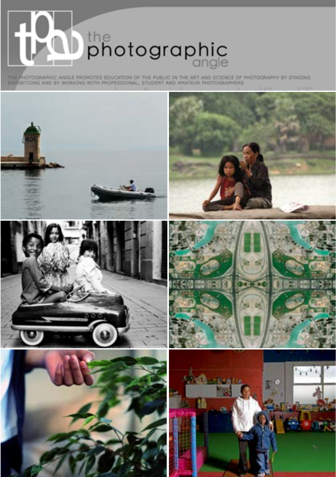the<br>photographic

THE PHOTOGRAPHIC ANGLE PROMOTES EDUCATION OF THE PUBLIC IN THE ART AND SCIENCE OF PHOTOGRAPHY BY STAGING

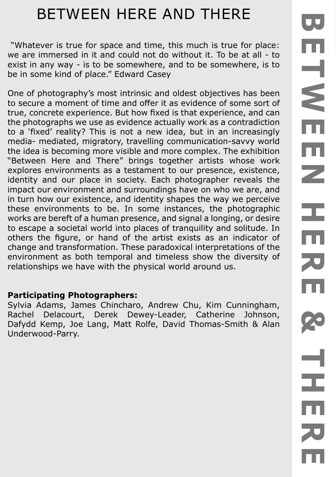# BETWEEN HERE AND THERE

 "Whatever is true for space and time, this much is true for place: we are immersed in it and could not do without it. To be at all - to exist in any way - is to be somewhere, and to be somewhere, is to be in some kind of place." Edward Casey

One of photography's most intrinsic and oldest objectives has been to secure a moment of time and offer it as evidence of some sort of true, concrete experience. But how fixed is that experience, and can the photographs we use as evidence actually work as a contradiction to a 'fixed' reality? This is not a new idea, but in an increasingly media- mediated, migratory, travelling communication-savvy world the idea is becoming more visible and more complex. The exhibition "Between Here and There" brings together artists whose work explores environments as a testament to our presence, existence, identity and our place in society. Each photographer reveals the impact our environment and surroundings have on who we are, and in turn how our existence, and identity shapes the way we perceive these environments to be. In some instances, the photographic works are bereft of a human presence, and signal a longing, or desire to escape a societal world into places of tranquility and solitude. In others the figure, or hand of the artist exists as an indicator of change and transformation. These paradoxical interpretations of the environment as both temporal and timeless show the diversity of relationships we have with the physical world around us.

#### **Participating Photographers:**

Sylvia Adams, James Chincharo, Andrew Chu, Kim Cunningham, Rachel Delacourt, Derek Dewey-Leader, Catherine Johnson, Dafydd Kemp, Joe Lang, Matt Rolfe, David Thomas-Smith & Alan Underwood-Parry.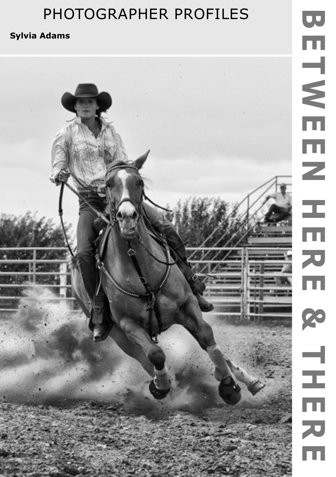### **Sylvia Adams**

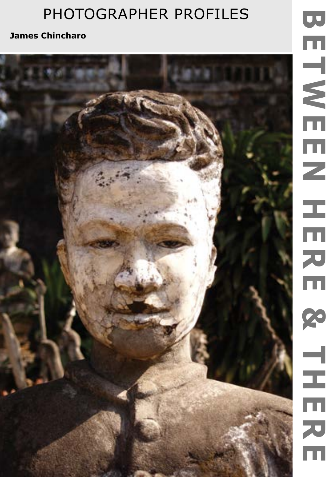**James Chincharo**

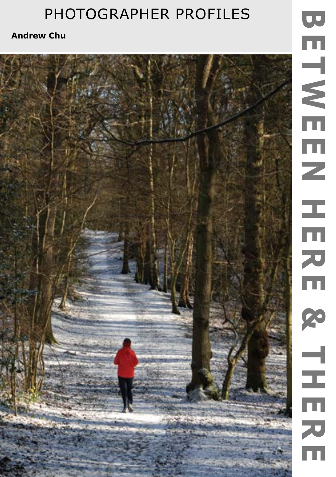**Andrew Chu**

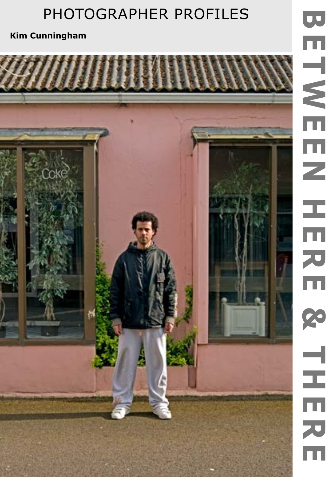**Kim Cunningham**

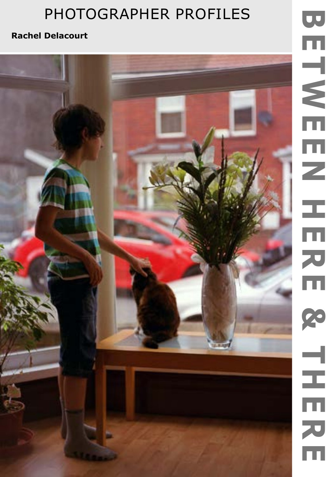### **Rachel Delacourt**

# BETWEEN HERE HERE & THERE **ETWEEN** Ĩ. ニロスロ 20  $\frac{1}{2}$  $\bar{\mathbf{m}}$ スロ

U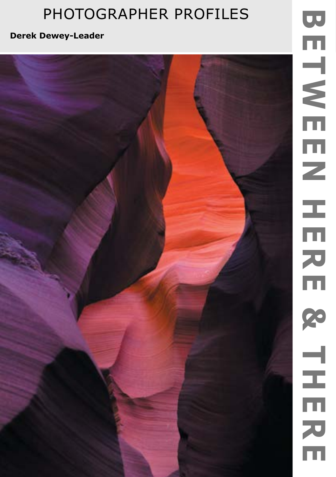**Derek Dewey-Leader**

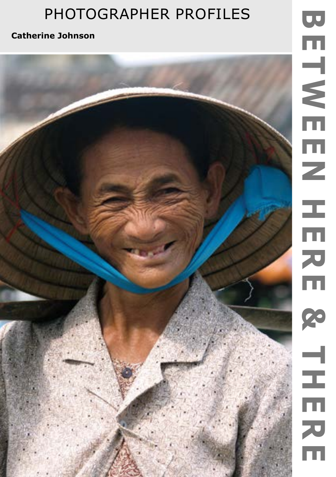**Catherine Johnson**

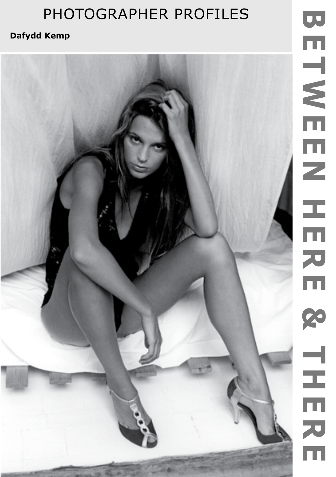### **Dafydd Kemp**

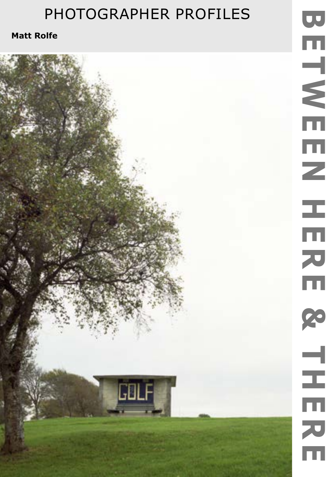**GBLF** 

**Matt Rolfe**

# UU BETWEEN HERE HERE & THERE ETWEE Ζ Ц.  $\overline{\overline{\mathbf{m}}}$ 刀田 23  $\frac{1}{2}$  $\overline{\overline{\mathfrak{m}}}$ スロ